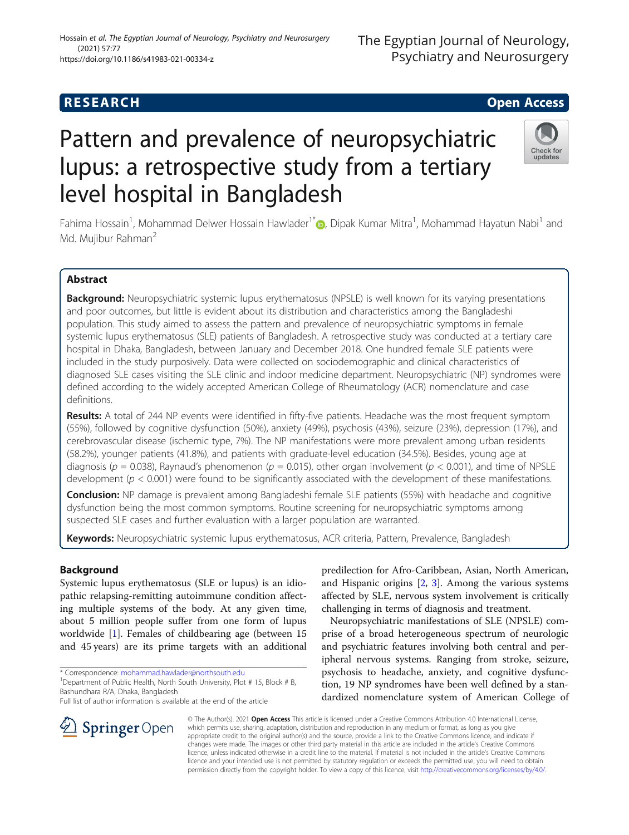## **RESEARCH CHEAR CHEAR CHEAR CHEAR CHEAR CHEAR CHEAR CHEAR CHEAR CHEAR CHEAR CHEAR CHEAR CHEAR CHEAR CHEAR CHEAR**

# Pattern and prevalence of neuropsychiatric lupus: a retrospective study from a tertiary level hospital in Bangladesh

Fahima Hossain<sup>1</sup>, Mohammad Delwer Hossain Hawlader<sup>1[\\*](http://orcid.org/0000-0002-1443-6257)</sup>. Dipak Kumar Mitra<sup>1</sup>, Mohammad Hayatun Nabi<sup>1</sup> and Md. Mujibur Rahman<sup>2</sup>

## Abstract

Background: Neuropsychiatric systemic lupus erythematosus (NPSLE) is well known for its varying presentations and poor outcomes, but little is evident about its distribution and characteristics among the Bangladeshi population. This study aimed to assess the pattern and prevalence of neuropsychiatric symptoms in female systemic lupus erythematosus (SLE) patients of Bangladesh. A retrospective study was conducted at a tertiary care hospital in Dhaka, Bangladesh, between January and December 2018. One hundred female SLE patients were included in the study purposively. Data were collected on sociodemographic and clinical characteristics of diagnosed SLE cases visiting the SLE clinic and indoor medicine department. Neuropsychiatric (NP) syndromes were defined according to the widely accepted American College of Rheumatology (ACR) nomenclature and case definitions.

Results: A total of 244 NP events were identified in fifty-five patients. Headache was the most frequent symptom (55%), followed by cognitive dysfunction (50%), anxiety (49%), psychosis (43%), seizure (23%), depression (17%), and cerebrovascular disease (ischemic type, 7%). The NP manifestations were more prevalent among urban residents (58.2%), younger patients (41.8%), and patients with graduate-level education (34.5%). Besides, young age at diagnosis ( $p = 0.038$ ), Raynaud's phenomenon ( $p = 0.015$ ), other organ involvement ( $p < 0.001$ ), and time of NPSLE development ( $p < 0.001$ ) were found to be significantly associated with the development of these manifestations.

Conclusion: NP damage is prevalent among Bangladeshi female SLE patients (55%) with headache and cognitive dysfunction being the most common symptoms. Routine screening for neuropsychiatric symptoms among suspected SLE cases and further evaluation with a larger population are warranted.

Keywords: Neuropsychiatric systemic lupus erythematosus, ACR criteria, Pattern, Prevalence, Bangladesh

## Background

Systemic lupus erythematosus (SLE or lupus) is an idiopathic relapsing-remitting autoimmune condition affecting multiple systems of the body. At any given time, about 5 million people suffer from one form of lupus worldwide [\[1](#page-5-0)]. Females of childbearing age (between 15 and 45 years) are its prime targets with an additional

\* Correspondence: [mohammad.hawlader@northsouth.edu](mailto:mohammad.hawlader@northsouth.edu) <sup>1</sup>

<sup>1</sup> Department of Public Health, North South University, Plot # 15, Block # B, Bashundhara R/A, Dhaka, Bangladesh

Full list of author information is available at the end of the article

predilection for Afro-Caribbean, Asian, North American, and Hispanic origins [\[2](#page-5-0), [3\]](#page-5-0). Among the various systems affected by SLE, nervous system involvement is critically challenging in terms of diagnosis and treatment.

Neuropsychiatric manifestations of SLE (NPSLE) comprise of a broad heterogeneous spectrum of neurologic and psychiatric features involving both central and peripheral nervous systems. Ranging from stroke, seizure, psychosis to headache, anxiety, and cognitive dysfunction, 19 NP syndromes have been well defined by a standardized nomenclature system of American College of

© The Author(s). 2021 Open Access This article is licensed under a Creative Commons Attribution 4.0 International License, which permits use, sharing, adaptation, distribution and reproduction in any medium or format, as long as you give appropriate credit to the original author(s) and the source, provide a link to the Creative Commons licence, and indicate if changes were made. The images or other third party material in this article are included in the article's Creative Commons licence, unless indicated otherwise in a credit line to the material. If material is not included in the article's Creative Commons licence and your intended use is not permitted by statutory regulation or exceeds the permitted use, you will need to obtain permission directly from the copyright holder. To view a copy of this licence, visit <http://creativecommons.org/licenses/by/4.0/>.







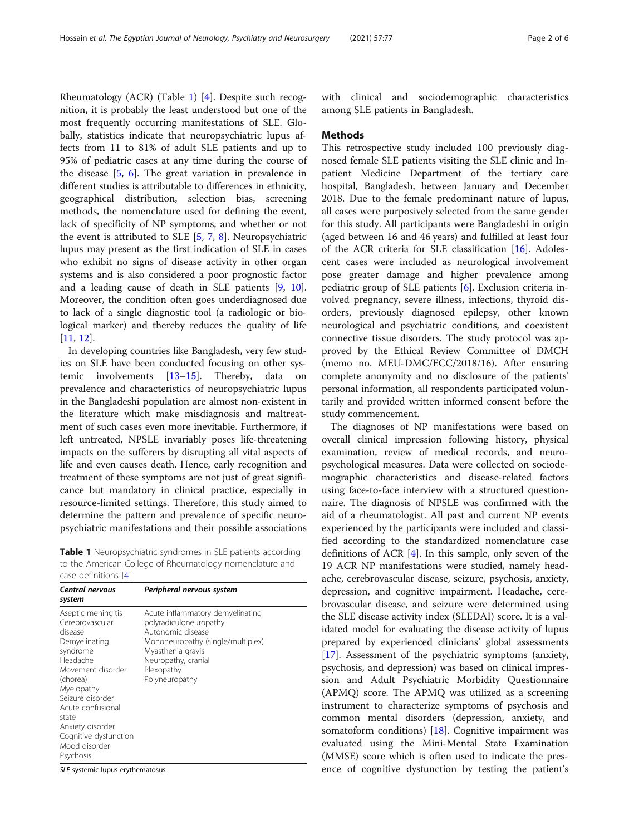Rheumatology (ACR) (Table 1) [[4\]](#page-5-0). Despite such recognition, it is probably the least understood but one of the most frequently occurring manifestations of SLE. Globally, statistics indicate that neuropsychiatric lupus affects from 11 to 81% of adult SLE patients and up to 95% of pediatric cases at any time during the course of the disease [\[5](#page-5-0), [6\]](#page-5-0). The great variation in prevalence in different studies is attributable to differences in ethnicity, geographical distribution, selection bias, screening methods, the nomenclature used for defining the event, lack of specificity of NP symptoms, and whether or not the event is attributed to SLE [\[5,](#page-5-0) [7](#page-5-0), [8\]](#page-5-0). Neuropsychiatric lupus may present as the first indication of SLE in cases who exhibit no signs of disease activity in other organ systems and is also considered a poor prognostic factor and a leading cause of death in SLE patients [\[9](#page-5-0), [10](#page-5-0)]. Moreover, the condition often goes underdiagnosed due to lack of a single diagnostic tool (a radiologic or biological marker) and thereby reduces the quality of life [[11,](#page-5-0) [12\]](#page-5-0).

In developing countries like Bangladesh, very few studies on SLE have been conducted focusing on other systemic involvements [\[13](#page-5-0)–[15\]](#page-5-0). Thereby, data on prevalence and characteristics of neuropsychiatric lupus in the Bangladeshi population are almost non-existent in the literature which make misdiagnosis and maltreatment of such cases even more inevitable. Furthermore, if left untreated, NPSLE invariably poses life-threatening impacts on the sufferers by disrupting all vital aspects of life and even causes death. Hence, early recognition and treatment of these symptoms are not just of great significance but mandatory in clinical practice, especially in resource-limited settings. Therefore, this study aimed to determine the pattern and prevalence of specific neuropsychiatric manifestations and their possible associations

Table 1 Neuropsychiatric syndromes in SLE patients according to the American College of Rheumatology nomenclature and case definitions [\[4\]](#page-5-0)

| Central nervous<br>system                                                                                                                                                                                                                                             | Peripheral nervous system                                                                                                                                                                        |
|-----------------------------------------------------------------------------------------------------------------------------------------------------------------------------------------------------------------------------------------------------------------------|--------------------------------------------------------------------------------------------------------------------------------------------------------------------------------------------------|
| Aseptic meningitis<br>Cerebrovascular<br>disease<br>Demyelinating<br>syndrome<br>Headache<br>Movement disorder<br>(chorea)<br>Myelopathy<br>Seizure disorder<br>Acute confusional<br>state<br>Anxiety disorder<br>Cognitive dysfunction<br>Mood disorder<br>Psychosis | Acute inflammatory demyelinating<br>polyradiculoneuropathy<br>Autonomic disease<br>Mononeuropathy (single/multiplex)<br>Myasthenia gravis<br>Neuropathy, cranial<br>Plexopathy<br>Polyneuropathy |

SLE systemic lupus erythematosus

with clinical and sociodemographic characteristics among SLE patients in Bangladesh.

### Methods

This retrospective study included 100 previously diagnosed female SLE patients visiting the SLE clinic and Inpatient Medicine Department of the tertiary care hospital, Bangladesh, between January and December 2018. Due to the female predominant nature of lupus, all cases were purposively selected from the same gender for this study. All participants were Bangladeshi in origin (aged between 16 and 46 years) and fulfilled at least four of the ACR criteria for SLE classification [[16](#page-5-0)]. Adolescent cases were included as neurological involvement pose greater damage and higher prevalence among pediatric group of SLE patients [\[6](#page-5-0)]. Exclusion criteria involved pregnancy, severe illness, infections, thyroid disorders, previously diagnosed epilepsy, other known neurological and psychiatric conditions, and coexistent connective tissue disorders. The study protocol was approved by the Ethical Review Committee of DMCH (memo no. MEU-DMC/ECC/2018/16). After ensuring complete anonymity and no disclosure of the patients' personal information, all respondents participated voluntarily and provided written informed consent before the study commencement.

The diagnoses of NP manifestations were based on overall clinical impression following history, physical examination, review of medical records, and neuropsychological measures. Data were collected on sociodemographic characteristics and disease-related factors using face-to-face interview with a structured questionnaire. The diagnosis of NPSLE was confirmed with the aid of a rheumatologist. All past and current NP events experienced by the participants were included and classified according to the standardized nomenclature case definitions of ACR [[4\]](#page-5-0). In this sample, only seven of the 19 ACR NP manifestations were studied, namely headache, cerebrovascular disease, seizure, psychosis, anxiety, depression, and cognitive impairment. Headache, cerebrovascular disease, and seizure were determined using the SLE disease activity index (SLEDAI) score. It is a validated model for evaluating the disease activity of lupus prepared by experienced clinicians' global assessments [[17\]](#page-5-0). Assessment of the psychiatric symptoms (anxiety, psychosis, and depression) was based on clinical impression and Adult Psychiatric Morbidity Questionnaire (APMQ) score. The APMQ was utilized as a screening instrument to characterize symptoms of psychosis and common mental disorders (depression, anxiety, and somatoform conditions) [[18](#page-5-0)]. Cognitive impairment was evaluated using the Mini-Mental State Examination (MMSE) score which is often used to indicate the presence of cognitive dysfunction by testing the patient's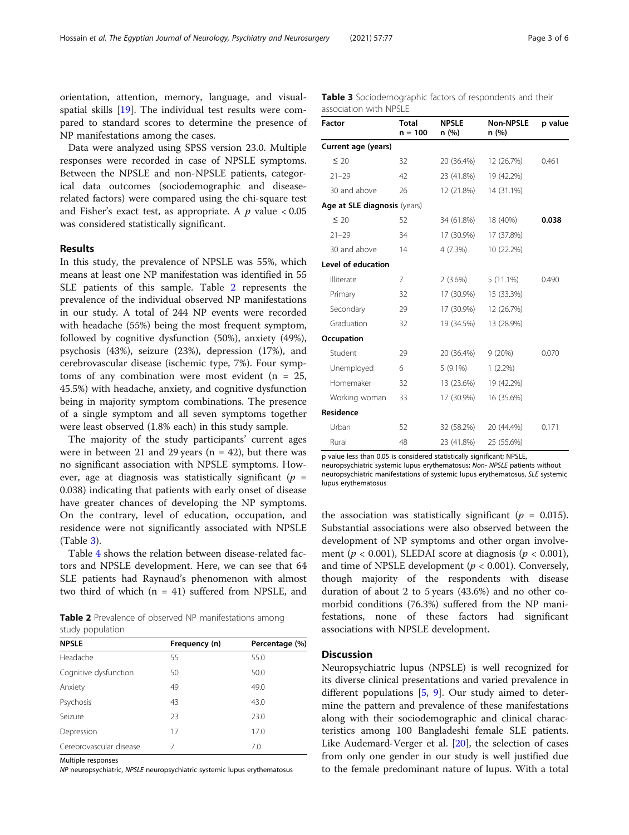orientation, attention, memory, language, and visualspatial skills [[19\]](#page-5-0). The individual test results were compared to standard scores to determine the presence of NP manifestations among the cases.

Data were analyzed using SPSS version 23.0. Multiple responses were recorded in case of NPSLE symptoms. Between the NPSLE and non-NPSLE patients, categorical data outcomes (sociodemographic and diseaserelated factors) were compared using the chi-square test and Fisher's exact test, as appropriate. A  $p$  value  $<0.05$ was considered statistically significant.

## Results

In this study, the prevalence of NPSLE was 55%, which means at least one NP manifestation was identified in 55 SLE patients of this sample. Table 2 represents the prevalence of the individual observed NP manifestations in our study. A total of 244 NP events were recorded with headache (55%) being the most frequent symptom, followed by cognitive dysfunction (50%), anxiety (49%), psychosis (43%), seizure (23%), depression (17%), and cerebrovascular disease (ischemic type, 7%). Four symptoms of any combination were most evident  $(n = 25,$ 45.5%) with headache, anxiety, and cognitive dysfunction being in majority symptom combinations. The presence of a single symptom and all seven symptoms together were least observed (1.8% each) in this study sample.

The majority of the study participants' current ages were in between 21 and 29 years ( $n = 42$ ), but there was no significant association with NPSLE symptoms. However, age at diagnosis was statistically significant ( $p =$ 0.038) indicating that patients with early onset of disease have greater chances of developing the NP symptoms. On the contrary, level of education, occupation, and residence were not significantly associated with NPSLE (Table 3).

Table [4](#page-3-0) shows the relation between disease-related factors and NPSLE development. Here, we can see that 64 SLE patients had Raynaud's phenomenon with almost two third of which (n = 41) suffered from NPSLE, and

Table 2 Prevalence of observed NP manifestations among study population

| <b>NPSLE</b>            | Frequency (n) | Percentage (%) |
|-------------------------|---------------|----------------|
| Headache                | 55            | 55.0           |
| Cognitive dysfunction   | 50            | 50.0           |
| Anxiety                 | 49            | 49.0           |
| Psychosis               | 43            | 43.0           |
| Seizure                 | 23            | 23.0           |
| Depression              | 17            | 17.0           |
| Cerebrovascular disease | 7             | 7.0            |

Multiple responses

NP neuropsychiatric, NPSLE neuropsychiatric systemic lupus erythematosus

Table 3 Sociodemographic factors of respondents and their association with NPSLE

| <b>Factor</b>                | <b>Total</b><br>$n = 100$ | <b>NPSLE</b><br>n (%) | <b>Non-NPSLE</b><br>n (%) | p value |
|------------------------------|---------------------------|-----------------------|---------------------------|---------|
| Current age (years)          |                           |                       |                           |         |
| $\leq 20$                    | 32                        | 20 (36.4%)            | 12 (26.7%)                | 0.461   |
| $21 - 29$                    | 42                        | 23 (41.8%)            | 19 (42.2%)                |         |
| 30 and above                 | 26                        | 12 (21.8%)            | 14 (31.1%)                |         |
| Age at SLE diagnosis (years) |                           |                       |                           |         |
| $\leq 20$                    | 52                        | 34 (61.8%)            | 18 (40%)                  | 0.038   |
| $21 - 29$                    | 34                        | 17 (30.9%)            | 17 (37.8%)                |         |
| 30 and above                 | 14                        | 4(7.3%)               | 10 (22.2%)                |         |
| Level of education           |                           |                       |                           |         |
| Illiterate                   | 7                         | $2(3.6\%)$            | $5(11.1\%)$               | 0.490   |
| Primary                      | 32                        | 17 (30.9%)            | 15 (33.3%)                |         |
| Secondary                    | 29                        | 17 (30.9%)            | 12 (26.7%)                |         |
| Graduation                   | 32                        | 19 (34.5%)            | 13 (28.9%)                |         |
| Occupation                   |                           |                       |                           |         |
| Student                      | 29                        | 20 (36.4%)            | 9(20%)                    | 0.070   |
| Unemployed                   | 6                         | $5(9.1\%)$            | $1(2.2\%)$                |         |
| Homemaker                    | 32                        | 13 (23.6%)            | 19 (42.2%)                |         |
| Working woman                | 33                        | 17 (30.9%)            | 16 (35.6%)                |         |
| <b>Residence</b>             |                           |                       |                           |         |
| Urban                        | 52                        | 32 (58.2%)            | 20 (44.4%)                | 0.171   |
| Rural                        | 48                        | 23 (41.8%)            | 25 (55.6%)                |         |

p value less than 0.05 is considered statistically significant; NPSLE,

neuropsychiatric systemic lupus erythematosus; Non- NPSLE patients without neuropsychiatric manifestations of systemic lupus erythematosus, SLE systemic lupus erythematosus

the association was statistically significant ( $p = 0.015$ ). Substantial associations were also observed between the development of NP symptoms and other organ involvement ( $p < 0.001$ ), SLEDAI score at diagnosis ( $p < 0.001$ ), and time of NPSLE development ( $p < 0.001$ ). Conversely, though majority of the respondents with disease duration of about 2 to 5 years (43.6%) and no other comorbid conditions (76.3%) suffered from the NP manifestations, none of these factors had significant associations with NPSLE development.

## **Discussion**

Neuropsychiatric lupus (NPSLE) is well recognized for its diverse clinical presentations and varied prevalence in different populations [\[5,](#page-5-0) [9](#page-5-0)]. Our study aimed to determine the pattern and prevalence of these manifestations along with their sociodemographic and clinical characteristics among 100 Bangladeshi female SLE patients. Like Audemard-Verger et al. [\[20](#page-5-0)], the selection of cases from only one gender in our study is well justified due to the female predominant nature of lupus. With a total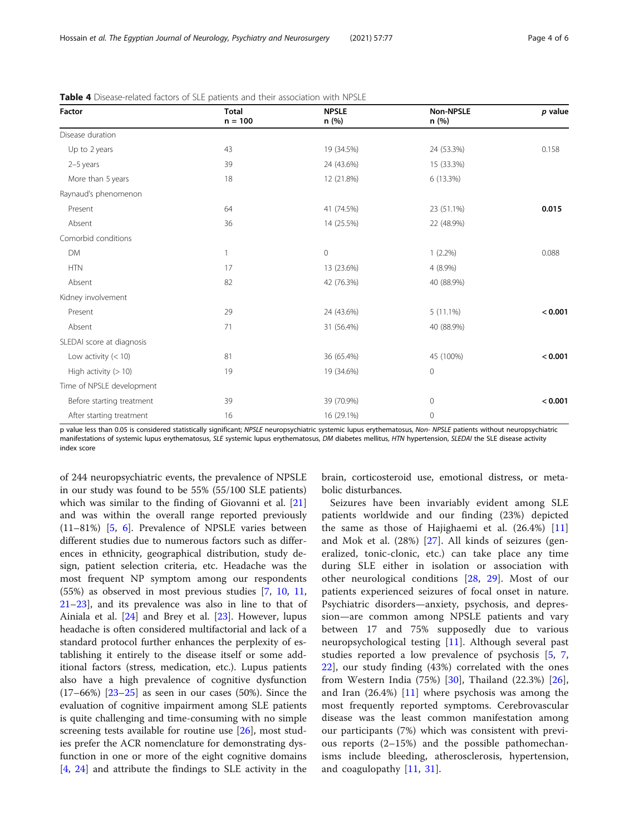| Factor                    | <b>Total</b><br>$n = 100$ | <b>NPSLE</b><br>n(%) | <b>Non-NPSLE</b><br>n(%) | p value |
|---------------------------|---------------------------|----------------------|--------------------------|---------|
| Disease duration          |                           |                      |                          |         |
| Up to 2 years             | 43                        | 19 (34.5%)           | 24 (53.3%)               | 0.158   |
| 2-5 years                 | 39                        | 24 (43.6%)           | 15 (33.3%)               |         |
| More than 5 years         | 18                        | 12 (21.8%)           | 6 (13.3%)                |         |
| Raynaud's phenomenon      |                           |                      |                          |         |
| Present                   | 64                        | 41 (74.5%)           | 23 (51.1%)               | 0.015   |
| Absent                    | 36                        | 14 (25.5%)           | 22 (48.9%)               |         |
| Comorbid conditions       |                           |                      |                          |         |
| <b>DM</b>                 | $\mathbf{1}$              | $\mathsf{O}\xspace$  | $1(2.2\%)$               | 0.088   |
| <b>HTN</b>                | 17                        | 13 (23.6%)           | $4(8.9\%)$               |         |
| Absent                    | 82                        | 42 (76.3%)           | 40 (88.9%)               |         |
| Kidney involvement        |                           |                      |                          |         |
| Present                   | 29                        | 24 (43.6%)           | $5(11.1\%)$              | < 0.001 |
| Absent                    | 71                        | 31 (56.4%)           | 40 (88.9%)               |         |
| SLEDAI score at diagnosis |                           |                      |                          |         |
| Low activity $(< 10)$     | 81                        | 36 (65.4%)           | 45 (100%)                | < 0.001 |
| High activity $(>10)$     | 19                        | 19 (34.6%)           | $\mathsf{O}\xspace$      |         |
| Time of NPSLE development |                           |                      |                          |         |
| Before starting treatment | 39                        | 39 (70.9%)           | 0                        | < 0.001 |
| After starting treatment  | 16                        | 16 (29.1%)           | 0                        |         |

<span id="page-3-0"></span>Table 4 Disease-related factors of SLE patients and their association with NPSLE

p value less than 0.05 is considered statistically significant; NPSLE neuropsychiatric systemic lupus erythematosus, Non- NPSLE patients without neuropsychiatric manifestations of systemic lupus erythematosus, SLE systemic lupus erythematosus, DM diabetes mellitus, HTN hypertension, SLEDAI the SLE disease activity index score

of 244 neuropsychiatric events, the prevalence of NPSLE in our study was found to be 55% (55/100 SLE patients) which was similar to the finding of Giovanni et al. [[21](#page-5-0)] and was within the overall range reported previously (11–81%) [[5,](#page-5-0) [6](#page-5-0)]. Prevalence of NPSLE varies between different studies due to numerous factors such as differences in ethnicity, geographical distribution, study design, patient selection criteria, etc. Headache was the most frequent NP symptom among our respondents (55%) as observed in most previous studies [\[7](#page-5-0), [10,](#page-5-0) [11](#page-5-0), [21](#page-5-0)–[23](#page-5-0)], and its prevalence was also in line to that of Ainiala et al. [\[24](#page-5-0)] and Brey et al. [[23\]](#page-5-0). However, lupus headache is often considered multifactorial and lack of a standard protocol further enhances the perplexity of establishing it entirely to the disease itself or some additional factors (stress, medication, etc.). Lupus patients also have a high prevalence of cognitive dysfunction  $(17–66%)$   $[23–25]$  $[23–25]$  $[23–25]$  $[23–25]$  as seen in our cases (50%). Since the evaluation of cognitive impairment among SLE patients is quite challenging and time-consuming with no simple screening tests available for routine use [\[26](#page-5-0)], most studies prefer the ACR nomenclature for demonstrating dysfunction in one or more of the eight cognitive domains [[4,](#page-5-0) [24\]](#page-5-0) and attribute the findings to SLE activity in the

brain, corticosteroid use, emotional distress, or metabolic disturbances.

Seizures have been invariably evident among SLE patients worldwide and our finding (23%) depicted the same as those of Hajighaemi et al.  $(26.4%)$  [\[11](#page-5-0)] and Mok et al. (28%) [\[27](#page-5-0)]. All kinds of seizures (generalized, tonic-clonic, etc.) can take place any time during SLE either in isolation or association with other neurological conditions [[28,](#page-5-0) [29](#page-5-0)]. Most of our patients experienced seizures of focal onset in nature. Psychiatric disorders—anxiety, psychosis, and depression—are common among NPSLE patients and vary between 17 and 75% supposedly due to various neuropsychological testing [[11\]](#page-5-0). Although several past studies reported a low prevalence of psychosis [[5](#page-5-0), [7](#page-5-0), [22\]](#page-5-0), our study finding (43%) correlated with the ones from Western India (75%) [\[30](#page-5-0)], Thailand (22.3%) [\[26](#page-5-0)], and Iran  $(26.4%)$  [[11\]](#page-5-0) where psychosis was among the most frequently reported symptoms. Cerebrovascular disease was the least common manifestation among our participants (7%) which was consistent with previous reports (2–15%) and the possible pathomechanisms include bleeding, atherosclerosis, hypertension, and coagulopathy [\[11](#page-5-0), [31](#page-5-0)].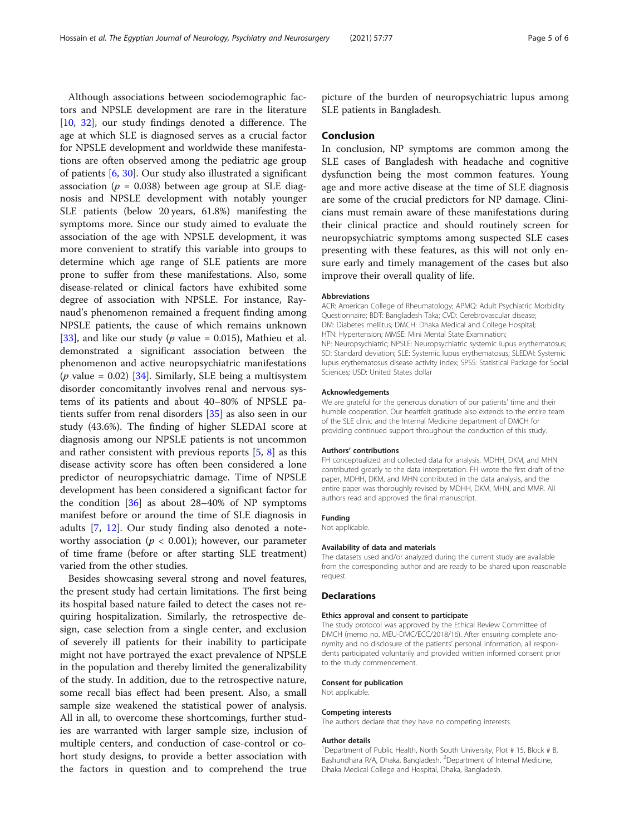Although associations between sociodemographic factors and NPSLE development are rare in the literature [[10,](#page-5-0) [32\]](#page-5-0), our study findings denoted a difference. The age at which SLE is diagnosed serves as a crucial factor for NPSLE development and worldwide these manifestations are often observed among the pediatric age group of patients [[6,](#page-5-0) [30\]](#page-5-0). Our study also illustrated a significant association ( $p = 0.038$ ) between age group at SLE diagnosis and NPSLE development with notably younger SLE patients (below 20 years, 61.8%) manifesting the symptoms more. Since our study aimed to evaluate the association of the age with NPSLE development, it was more convenient to stratify this variable into groups to determine which age range of SLE patients are more prone to suffer from these manifestations. Also, some disease-related or clinical factors have exhibited some degree of association with NPSLE. For instance, Raynaud's phenomenon remained a frequent finding among NPSLE patients, the cause of which remains unknown [[33\]](#page-5-0), and like our study ( $p$  value = 0.015), Mathieu et al. demonstrated a significant association between the phenomenon and active neuropsychiatric manifestations (*p* value = 0.02) [\[34](#page-5-0)]. Similarly, SLE being a multisystem disorder concomitantly involves renal and nervous systems of its patients and about 40–80% of NPSLE patients suffer from renal disorders [\[35](#page-5-0)] as also seen in our study (43.6%). The finding of higher SLEDAI score at diagnosis among our NPSLE patients is not uncommon and rather consistent with previous reports [\[5](#page-5-0), [8\]](#page-5-0) as this disease activity score has often been considered a lone predictor of neuropsychiatric damage. Time of NPSLE development has been considered a significant factor for the condition [[36](#page-5-0)] as about 28–40% of NP symptoms manifest before or around the time of SLE diagnosis in adults [[7,](#page-5-0) [12](#page-5-0)]. Our study finding also denoted a noteworthy association ( $p < 0.001$ ); however, our parameter of time frame (before or after starting SLE treatment) varied from the other studies.

Besides showcasing several strong and novel features, the present study had certain limitations. The first being its hospital based nature failed to detect the cases not requiring hospitalization. Similarly, the retrospective design, case selection from a single center, and exclusion of severely ill patients for their inability to participate might not have portrayed the exact prevalence of NPSLE in the population and thereby limited the generalizability of the study. In addition, due to the retrospective nature, some recall bias effect had been present. Also, a small sample size weakened the statistical power of analysis. All in all, to overcome these shortcomings, further studies are warranted with larger sample size, inclusion of multiple centers, and conduction of case-control or cohort study designs, to provide a better association with the factors in question and to comprehend the true picture of the burden of neuropsychiatric lupus among SLE patients in Bangladesh.

## Conclusion

In conclusion, NP symptoms are common among the SLE cases of Bangladesh with headache and cognitive dysfunction being the most common features. Young age and more active disease at the time of SLE diagnosis are some of the crucial predictors for NP damage. Clinicians must remain aware of these manifestations during their clinical practice and should routinely screen for neuropsychiatric symptoms among suspected SLE cases presenting with these features, as this will not only ensure early and timely management of the cases but also improve their overall quality of life.

#### Abbreviations

ACR: American College of Rheumatology; APMQ: Adult Psychiatric Morbidity Questionnaire; BDT: Bangladesh Taka; CVD: Cerebrovascular disease; DM: Diabetes mellitus; DMCH: Dhaka Medical and College Hospital; HTN: Hypertension; MMSE: Mini Mental State Examination; NP: Neuropsychiatric; NPSLE: Neuropsychiatric systemic lupus erythematosus; SD: Standard deviation; SLE: Systemic lupus erythematosus; SLEDAI: Systemic lupus erythematosus disease activity index; SPSS: Statistical Package for Social Sciences; USD: United States dollar

#### Acknowledgements

We are grateful for the generous donation of our patients' time and their humble cooperation. Our heartfelt gratitude also extends to the entire team of the SLE clinic and the Internal Medicine department of DMCH for providing continued support throughout the conduction of this study.

#### Authors' contributions

FH conceptualized and collected data for analysis. MDHH, DKM, and MHN contributed greatly to the data interpretation. FH wrote the first draft of the paper, MDHH, DKM, and MHN contributed in the data analysis, and the entire paper was thoroughly revised by MDHH, DKM, MHN, and MMR. All authors read and approved the final manuscript.

#### Funding

Not applicable.

#### Availability of data and materials

The datasets used and/or analyzed during the current study are available from the corresponding author and are ready to be shared upon reasonable request.

#### Declarations

#### Ethics approval and consent to participate

The study protocol was approved by the Ethical Review Committee of DMCH (memo no. MEU-DMC/ECC/2018/16). After ensuring complete anonymity and no disclosure of the patients' personal information, all respondents participated voluntarily and provided written informed consent prior to the study commencement.

#### Consent for publication

Not applicable.

#### Competing interests

The authors declare that they have no competing interests.

#### Author details

<sup>1</sup>Department of Public Health, North South University, Plot # 15, Block # B Bashundhara R/A, Dhaka, Bangladesh. <sup>2</sup>Department of Internal Medicine, Dhaka Medical College and Hospital, Dhaka, Bangladesh.